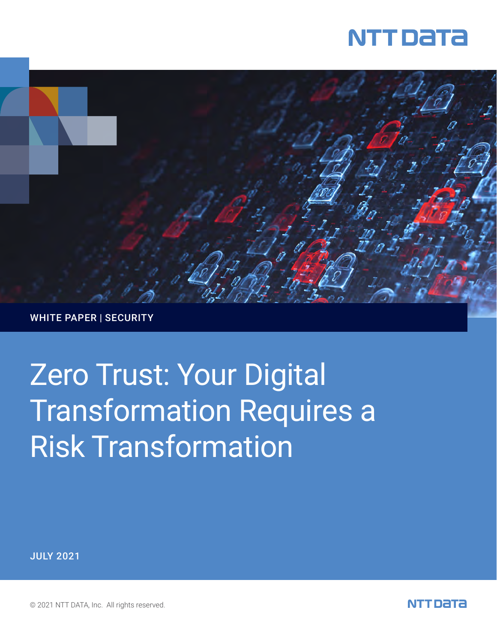



WHITE PAPER | SECURITY

# Zero Trust: Your Digital Transformation Requires a Risk Transformation

JULY 2021

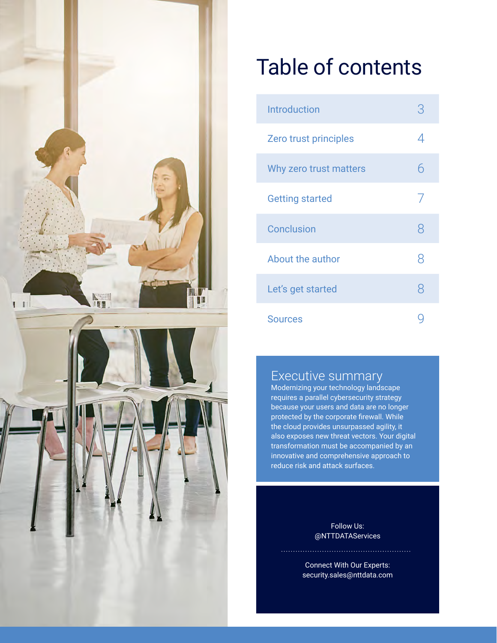

## Table of contents

| <b>Introduction</b>    | Κ              |
|------------------------|----------------|
| Zero trust principles  | 4              |
| Why zero trust matters | 6              |
| <b>Getting started</b> | $\overline{1}$ |
| <b>Conclusion</b>      | 8              |
| About the author       | 8              |
| Let's get started      | 8              |
| <b>Sources</b>         |                |

### Executive summary

Modernizing your technology landscape requires a parallel cybersecurity strategy because your users and data are no longer protected by the corporate firewall. While the cloud provides unsurpassed agility, it also exposes new threat vectors. Your digital transformation must be accompanied by an innovative and comprehensive approach to reduce risk and attack surfaces.

> Follow Us: @NTTDATAServices

Connect With Our Experts: security.sales@nttdata.com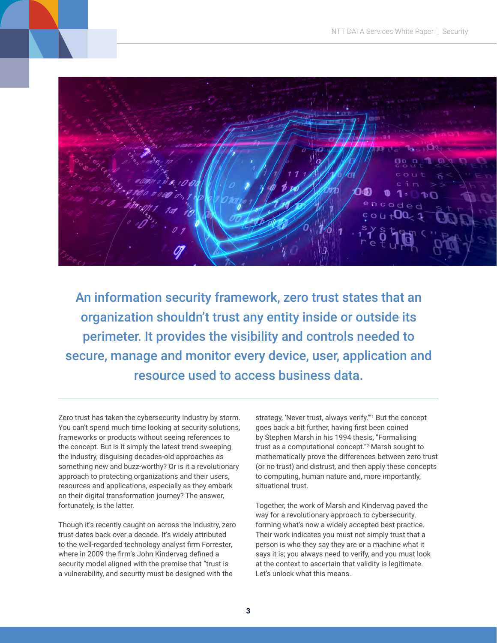An information security framework, zero trust states that an organization shouldn't trust any entity inside or outside its perimeter. It provides the visibility and controls needed to secure, manage and monitor every device, user, application and resource used to access business data.

Zero trust has taken the cybersecurity industry by storm. You can't spend much time looking at security solutions, frameworks or products without seeing references to the concept. But is it simply the latest trend sweeping the industry, disguising decades-old approaches as something new and buzz-worthy? Or is it a revolutionary approach to protecting organizations and their users, resources and applications, especially as they embark on their digital transformation journey? The answer, fortunately, is the latter.

Though it's recently caught on across the industry, zero trust dates back over a decade. It's widely attributed to the well-regarded technology analyst firm Forrester, where in 2009 the firm's John Kindervag defined a security model aligned with the premise that "trust is a vulnerability, and security must be designed with the

strategy, 'Never trust, always verify."<sup>"1</sup> But the concept goes back a bit further, having first been coined by Stephen Marsh in his 1994 thesis, "Formalising trust as a computational concept."2 Marsh sought to mathematically prove the differences between zero trust (or no trust) and distrust, and then apply these concepts to computing, human nature and, more importantly, situational trust.

Together, the work of Marsh and Kindervag paved the way for a revolutionary approach to cybersecurity, forming what's now a widely accepted best practice. Their work indicates you must not simply trust that a person is who they say they are or a machine what it says it is; you always need to verify, and you must look at the context to ascertain that validity is legitimate. Let's unlock what this means.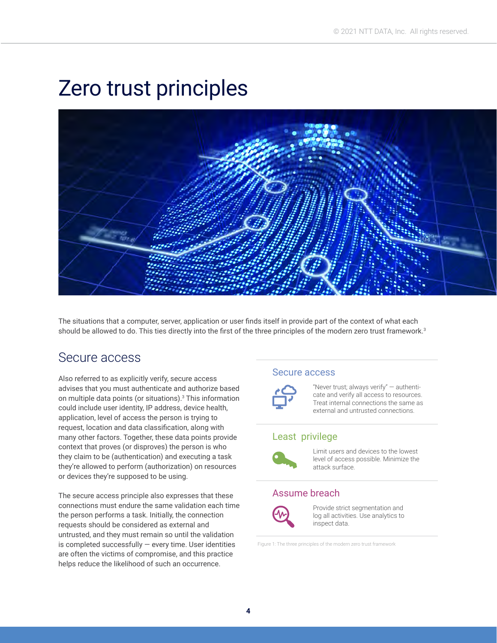## Zero trust principles



The situations that a computer, server, application or user finds itself in provide part of the context of what each should be allowed to do. This ties directly into the first of the three principles of the modern zero trust framework.<sup>3</sup>

### Secure access

Also referred to as explicitly verify, secure access advises that you must authenticate and authorize based on multiple data points (or situations).<sup>3</sup> This information could include user identity, IP address, device health, application, level of access the person is trying to request, location and data classification, along with many other factors. Together, these data points provide context that proves (or disproves) the person is who they claim to be (authentication) and executing a task they're allowed to perform (authorization) on resources or devices they're supposed to be using.

The secure access principle also expresses that these connections must endure the same validation each time the person performs a task. Initially, the connection requests should be considered as external and untrusted, and they must remain so until the validation is completed successfully — every time. User identities are often the victims of compromise, and this practice helps reduce the likelihood of such an occurrence.

### Secure access



"Never trust; always verify" — authenticate and verify all access to resources. Treat internal connections the same as external and untrusted connections.

### Least privilege



Limit users and devices to the lowest level of access possible. Minimize the attack surface.

### Assume breach



Provide strict segmentation and log all activities. Use analytics to inspect data.

Figure 1: The three principles of the modern zero trust framework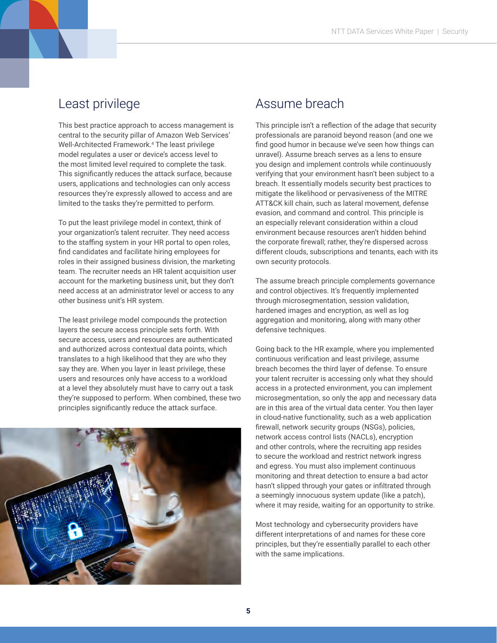### Least privilege

This best practice approach to access management is central to the security pillar of Amazon Web Services' Well-Architected Framework.4 The least privilege model regulates a user or device's access level to the most limited level required to complete the task. This significantly reduces the attack surface, because users, applications and technologies can only access resources they're expressly allowed to access and are limited to the tasks they're permitted to perform.

To put the least privilege model in context, think of your organization's talent recruiter. They need access to the staffing system in your HR portal to open roles, find candidates and facilitate hiring employees for roles in their assigned business division, the marketing team. The recruiter needs an HR talent acquisition user account for the marketing business unit, but they don't need access at an administrator level or access to any other business unit's HR system.

The least privilege model compounds the protection layers the secure access principle sets forth. With secure access, users and resources are authenticated and authorized across contextual data points, which translates to a high likelihood that they are who they say they are. When you layer in least privilege, these users and resources only have access to a workload at a level they absolutely must have to carry out a task they're supposed to perform. When combined, these two principles significantly reduce the attack surface.



### Assume breach

This principle isn't a reflection of the adage that security professionals are paranoid beyond reason (and one we find good humor in because we've seen how things can unravel). Assume breach serves as a lens to ensure you design and implement controls while continuously verifying that your environment hasn't been subject to a breach. It essentially models security best practices to mitigate the likelihood or pervasiveness of the MITRE ATT&CK kill chain, such as lateral movement, defense evasion, and command and control. This principle is an especially relevant consideration within a cloud environment because resources aren't hidden behind the corporate firewall; rather, they're dispersed across different clouds, subscriptions and tenants, each with its own security protocols.

The assume breach principle complements governance and control objectives. It's frequently implemented through microsegmentation, session validation, hardened images and encryption, as well as log aggregation and monitoring, along with many other defensive techniques.

Going back to the HR example, where you implemented continuous verification and least privilege, assume breach becomes the third layer of defense. To ensure your talent recruiter is accessing only what they should access in a protected environment, you can implement microsegmentation, so only the app and necessary data are in this area of the virtual data center. You then layer in cloud-native functionality, such as a web application firewall, network security groups (NSGs), policies, network access control lists (NACLs), encryption and other controls, where the recruiting app resides to secure the workload and restrict network ingress and egress. You must also implement continuous monitoring and threat detection to ensure a bad actor hasn't slipped through your gates or infiltrated through a seemingly innocuous system update (like a patch), where it may reside, waiting for an opportunity to strike.

Most technology and cybersecurity providers have different interpretations of and names for these core principles, but they're essentially parallel to each other with the same implications.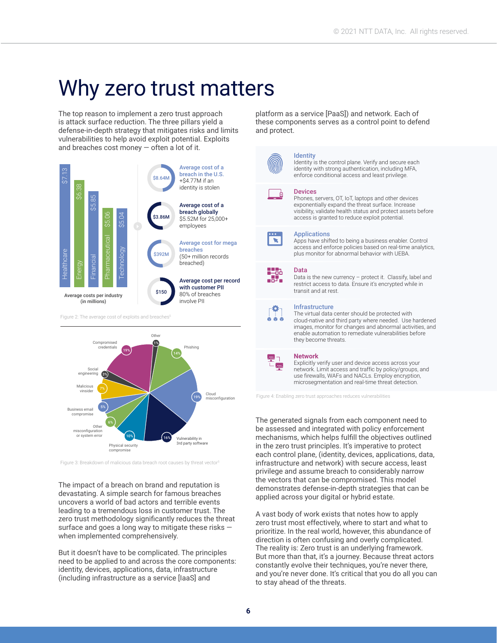## Why zero trust matters

The top reason to implement a zero trust approach is attack surface reduction. The three pillars yield a defense-in-depth strategy that mitigates risks and limits vulnerabilities to help avoid exploit potential. Exploits and breaches cost money — often a lot of it.



Figure 2: The average cost of exploits and breaches



Figure 3: Breakdown of malicious data breach root causes by threat vector<sup>6</sup>

The impact of a breach on brand and reputation is devastating. A simple search for famous breaches uncovers a world of bad actors and terrible events leading to a tremendous loss in customer trust. The zero trust methodology significantly reduces the threat surface and goes a long way to mitigate these risks when implemented comprehensively.

But it doesn't have to be complicated. The principles need to be applied to and across the core components: identity, devices, applications, data, infrastructure (including infrastructure as a service [IaaS] and

platform as a service [PaaS]) and network. Each of these components serves as a control point to defend and protect.



#### Identity

Identity is the control plane. Verify and secure each identity with strong authentication, including MFA, enforce conditional access and least privilege.

#### Devices

Phones, servers, OT, IoT, laptops and other devices exponentially expand the threat surface. Increase visibility, validate health status and protect assets before access is granted to reduce exploit potential.



. 57.

#### **Applications**

Apps have shifted to being a business enabler. Control access and enforce policies based on real-time analytics, plus monitor for abnormal behavior with UEBA.

#### Data

Data is the new currency – protect it. Classify, label and restrict access to data. Ensure it's encrypted while in transit and at rest.

#### Infrastructure

The virtual data center should be protected with cloud-native and third party where needed. Use hardened images, monitor for changes and abnormal activities, and enable automation to remediate vulnerabilities before they become threats.

#### **Network**

Explicitly verify user and device access across your network. Limit access and traffic by policy/groups, and use firewalls, WAFs and NACLs. Employ encryption, microsegmentation and real-time threat detection.

Figure 4: Enabling zero trust approaches reduces vulnerabilities

The generated signals from each component need to be assessed and integrated with policy enforcement mechanisms, which helps fulfill the objectives outlined in the zero trust principles. It's imperative to protect each control plane, (identity, devices, applications, data, infrastructure and network) with secure access, least privilege and assume breach to considerably narrow the vectors that can be compromised. This model demonstrates defense-in-depth strategies that can be applied across your digital or hybrid estate.

A vast body of work exists that notes how to apply zero trust most effectively, where to start and what to prioritize. In the real world, however, this abundance of direction is often confusing and overly complicated. The reality is: Zero trust is an underlying framework. But more than that, it's a journey. Because threat actors constantly evolve their techniques, you're never there, and you're never done. It's critical that you do all you can to stay ahead of the threats.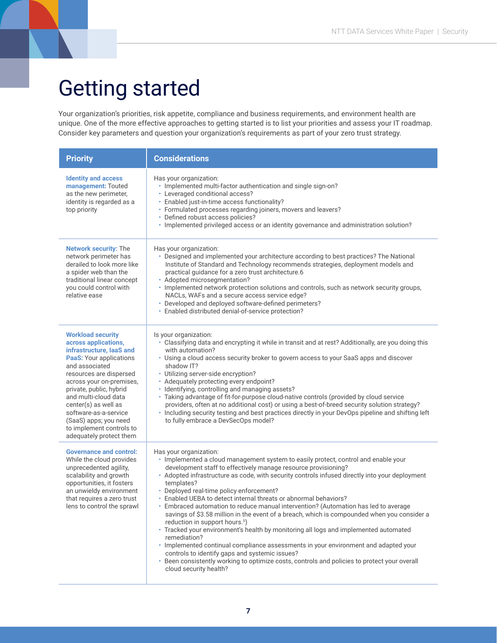## Getting started

Your organization's priorities, risk appetite, compliance and business requirements, and environment health are unique. One of the more effective approaches to getting started is to list your priorities and assess your IT roadmap. Consider key parameters and question your organization's requirements as part of your zero trust strategy.

| <b>Priority</b>                                                                                                                                                                                                                                                                                                                                                             | <b>Considerations</b>                                                                                                                                                                                                                                                                                                                                                                                                                                                                                                                                                                                                                                                                                                                                                                                                                                                                                                                                                                                                         |
|-----------------------------------------------------------------------------------------------------------------------------------------------------------------------------------------------------------------------------------------------------------------------------------------------------------------------------------------------------------------------------|-------------------------------------------------------------------------------------------------------------------------------------------------------------------------------------------------------------------------------------------------------------------------------------------------------------------------------------------------------------------------------------------------------------------------------------------------------------------------------------------------------------------------------------------------------------------------------------------------------------------------------------------------------------------------------------------------------------------------------------------------------------------------------------------------------------------------------------------------------------------------------------------------------------------------------------------------------------------------------------------------------------------------------|
| <b>Identity and access</b><br>management: Touted<br>as the new perimeter,<br>identity is regarded as a<br>top priority                                                                                                                                                                                                                                                      | Has your organization:<br>· Implemented multi-factor authentication and single sign-on?<br>• Leveraged conditional access?<br>· Enabled just-in-time access functionality?<br>· Formulated processes regarding joiners, movers and leavers?<br>• Defined robust access policies?<br>• Implemented privileged access or an identity governance and administration solution?                                                                                                                                                                                                                                                                                                                                                                                                                                                                                                                                                                                                                                                    |
| <b>Network security: The</b><br>network perimeter has<br>derailed to look more like<br>a spider web than the<br>traditional linear concept<br>you could control with<br>relative ease                                                                                                                                                                                       | Has your organization:<br>• Designed and implemented your architecture according to best practices? The National<br>Institute of Standard and Technology recommends strategies, deployment models and<br>practical quidance for a zero trust architecture.6<br>Adopted microsegmentation?<br>· Implemented network protection solutions and controls, such as network security groups,<br>NACLs, WAFs and a secure access service edge?<br>• Developed and deployed software-defined perimeters?<br>• Enabled distributed denial-of-service protection?                                                                                                                                                                                                                                                                                                                                                                                                                                                                       |
| <b>Workload security</b><br>across applications,<br>infrastructure, laaS and<br><b>PaaS: Your applications</b><br>and associated<br>resources are dispersed<br>across your on-premises,<br>private, public, hybrid<br>and multi-cloud data<br>center(s) as well as<br>software-as-a-service<br>(SaaS) apps; you need<br>to implement controls to<br>adequately protect them | Is your organization:<br>· Classifying data and encrypting it while in transit and at rest? Additionally, are you doing this<br>with automation?<br>• Using a cloud access security broker to govern access to your SaaS apps and discover<br>shadow IT?<br>• Utilizing server-side encryption?<br>• Adequately protecting every endpoint?<br>· Identifying, controlling and managing assets?<br>· Taking advantage of fit-for-purpose cloud-native controls (provided by cloud service<br>providers, often at no additional cost) or using a best-of-breed security solution strategy?<br>· Including security testing and best practices directly in your DevOps pipeline and shifting left<br>to fully embrace a DevSecOps model?                                                                                                                                                                                                                                                                                          |
| <b>Governance and control:</b><br>While the cloud provides<br>unprecedented agility,<br>scalability and growth<br>opportunities, it fosters<br>an unwieldy environment<br>that requires a zero trust<br>lens to control the sprawl                                                                                                                                          | Has your organization:<br>· Implemented a cloud management system to easily protect, control and enable your<br>development staff to effectively manage resource provisioning?<br>• Adopted infrastructure as code, with security controls infused directly into your deployment<br>templates?<br>• Deployed real-time policy enforcement?<br>· Enabled UEBA to detect internal threats or abnormal behaviors?<br>• Embraced automation to reduce manual intervention? (Automation has led to average<br>savings of \$3.58 million in the event of a breach, which is compounded when you consider a<br>reduction in support hours. <sup>5</sup> )<br>· Tracked your environment's health by monitoring all logs and implemented automated<br>remediation?<br>· Implemented continual compliance assessments in your environment and adapted your<br>controls to identify gaps and systemic issues?<br>• Been consistently working to optimize costs, controls and policies to protect your overall<br>cloud security health? |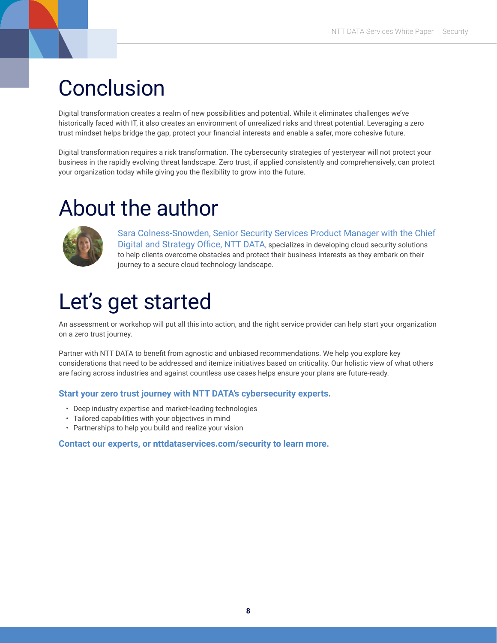## **Conclusion**

Digital transformation creates a realm of new possibilities and potential. While it eliminates challenges we've historically faced with IT, it also creates an environment of unrealized risks and threat potential. Leveraging a zero trust mindset helps bridge the gap, protect your financial interests and enable a safer, more cohesive future.

Digital transformation requires a risk transformation. The cybersecurity strategies of yesteryear will not protect your business in the rapidly evolving threat landscape. Zero trust, if applied consistently and comprehensively, can protect your organization today while giving you the flexibility to grow into the future.

## About the author



Sara Colness-Snowden, Senior Security Services Product Manager with the Chief Digital and Strategy Office, NTT DATA, specializes in developing cloud security solutions to help clients overcome obstacles and protect their business interests as they embark on their journey to a secure cloud technology landscape.

## Let's get started

An assessment or workshop will put all this into action, and the right service provider can help start your organization on a zero trust journey.

Partner with NTT DATA to benefit from agnostic and unbiased recommendations. We help you explore key considerations that need to be addressed and itemize initiatives based on criticality. Our holistic view of what others are facing across industries and against countless use cases helps ensure your plans are future-ready.

### **Start your zero trust journey with NTT DATA's cybersecurity experts.**

- Deep industry expertise and market-leading technologies
- Tailored capabilities with your objectives in mind
- Partnerships to help you build and realize your vision

#### **Contact our experts, or [nttdataservices.com/security](https://us.nttdata.com/en/digital/security-services) to learn more.**